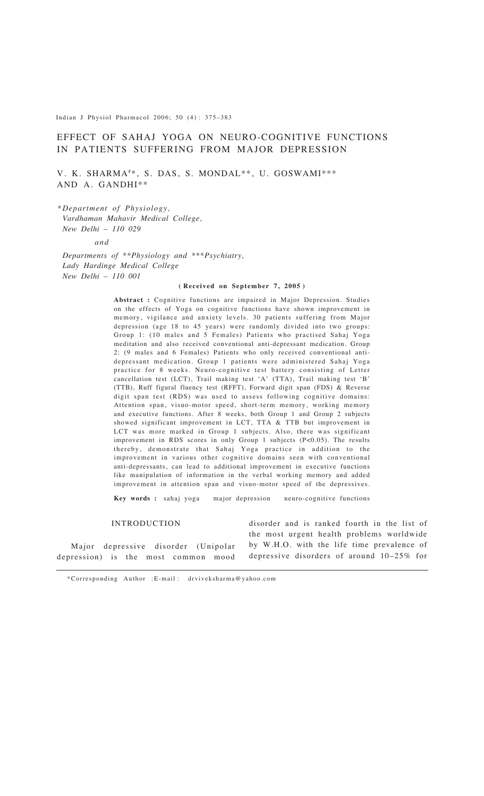Indian J Physiol Pharmacol 2006; 50 (4) : 375–383

# EFFECT OF SAHAJ YOGA ON NEURO-COGNITIVE FUNCTIONS IN PATIENTS SUFFERING FROM MAJOR DEPRESSION

V. K. SHARMA#\*, S. DAS, S. MONDAL\*\*, U. GOSWAMI\*\*\* AND A. GANDHI\*\*

*\*Department of Physiology, Vardhaman Mahavir Medical College, New Delhi – 110 029*

*and*

*Departments of \*\*Physiology and \*\*\*Psychiatry, Lady Hardinge Medical College New Delhi – 110 001*

#### **( Received on September 7, 2005 )**

**Abstract :** Cognitive functions are impaired in Major Depression. Studies on the effects of Yoga on cognitive functions have shown improvement in memory, vigilance and anxiety levels. 30 patients suffering from Major depression (age 18 to 45 years) were randomly divided into two groups: Group 1: (10 males and 5 Females) Patients who practised Sahaj Yoga meditation and also received conventional anti-depressant medication. Group 2: (9 males and 6 Females) Patients who only received conventional antidepressant medication. Group 1 patients were administered Sahaj Yoga practice for 8 weeks. Neuro-cognitive test battery consisting of Letter cancellation test (LCT), Trail making test 'A' (TTA), Trail making test 'B' (TTB), Ruff figural fluency test (RFFT), Forward digit span (FDS) & Reverse digit span test (RDS) was used to assess following cognitive domains: Attention span, visuo-motor speed, short-term memory, working memory and executive functions. After 8 weeks, both Group 1 and Group 2 subjects showed significant improvement in LCT, TTA & TTB but improvement in LCT was more marked in Group 1 subjects. Also, there was significant improvement in RDS scores in only Group 1 subjects (P<0.05). The results thereby, demonstrate that Sahaj Yoga practice in addition to the improvement in various other cognitive domains seen with conventional anti-depressants, can lead to additional improvement in executive functions like manipulation of information in the verbal working memory and added improvement in attention span and visuo-motor speed of the depressives.

**Key words :** sahaj yoga major depression neuro-cognitive functions

## INTRODUCTION

disorder and is ranked fourth in the list of the most urgent health problems worldwide by W.H.O. with the life time prevalence of depressive disorders of around 10–25% for

Major depressive disorder (Unipolar depression) is the most common mood

\*Corresponding Author :E-mail : drviveksharma@yahoo.com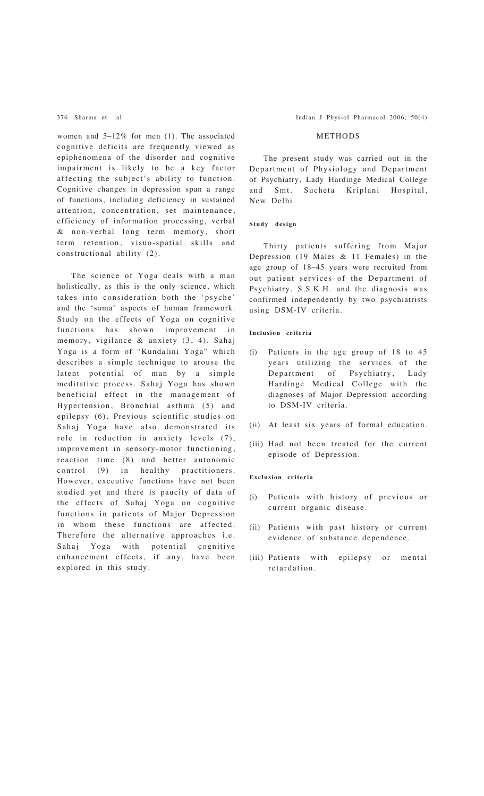women and  $5-12\%$  for men (1). The associated cognitive deficits are frequently viewed as epiphenomena of the disorder and cognitive impairment is likely to be a key factor affecting the subject's ability to function. Cognitive changes in depression span a range of functions, including deficiency in sustained attention, concentration, set maintenance, efficiency of information processing, verbal & non-verbal long term memory, short term retention, visuo-spatial skills and constructional ability (2).

The science of Yoga deals with a man holistically, as this is the only science, which takes into consideration both the 'psyche' and the 'soma' aspects of human framework. Study on the effects of Yoga on cognitive functions has shown improvement in memory, vigilance & anxiety (3, 4). Sahaj Yoga is a form of "Kundalini Yoga" which describes a simple technique to arouse the latent potential of man by a simple meditative process. Sahaj Yoga has shown beneficial effect in the management of Hypertension, Bronchial asthma (5) and epilepsy (6). Previous scientific studies on Sahaj Yoga have also demonstrated its role in reduction in anxiety levels (7), improvement in sensory-motor functioning, reaction time (8) and better autonomic control (9) in healthy practitioners. However, executive functions have not been studied yet and there is paucity of data of the effects of Sahaj Yoga on cognitive functions in patients of Major Depression in whom these functions are affected. Therefore the alternative approaches i.e. Sahaj Yoga with potential cognitive enhancement effects, if any, have been explored in this study.

376 Sharma et al Indian J Physiol Pharmacol 2006; 50(4)

## METHODS

The present study was carried out in the Department of Physiology and Department of Psychiatry, Lady Hardinge Medical College and Smt. Sucheta Kriplani Hospital, New Delhi.

## **Study design**

Thirty patients suffering from Major Depression (19 Males & 11 Females) in the age group of 18–45 years were recruited from out patient services of the Department of Psychiatry, S.S.K.H. and the diagnosis was confirmed independently by two psychiatrists using DSM-IV criteria.

## **Inclusion criteria**

- (i) Patients in the age group of 18 to 45 years utilizing the services of the Department of Psychiatry, Lady Hardinge Medical College with the diagnoses of Major Depression according to DSM-IV criteria.
- (ii) At least six years of formal education.
- (iii) Had not been treated for the current episode of Depression.

#### **Exclusion criteria**

- (i) Patients with history of previous or current organic disease.
- (ii) Patients with past history or current evidence of substance dependence.
- (iii) Patients with epilepsy or mental retardation.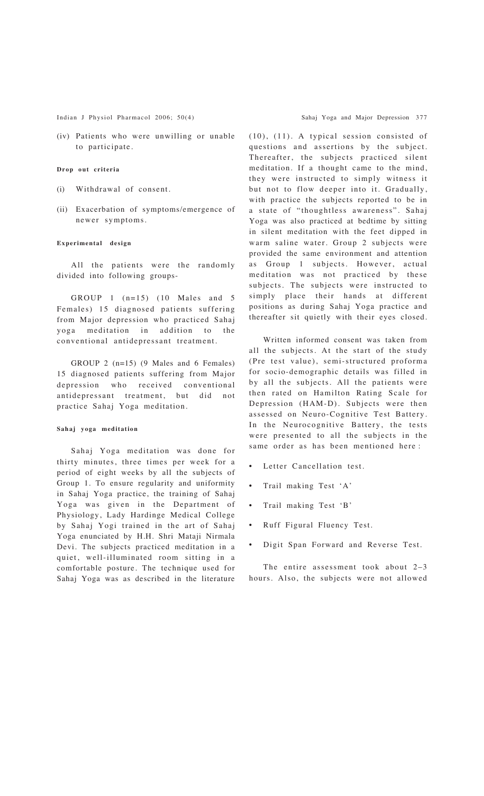Indian J Physiol Pharmacol 2006; 50(4) Sahaj Yoga and Major Depression 377

(iv) Patients who were unwilling or unable to participate.

#### **Drop out criteria**

- (i) Withdrawal of consent.
- (ii) Exacerbation of symptoms/emergence of newer symptoms.

#### **Experimental design**

All the patients were the randomly divided into following groups-

GROUP 1 (n=15) (10 Males and 5 Females) 15 diagnosed patients suffering from Major depression who practiced Sahaj yoga meditation in addition to the conventional antidepressant treatment.

GROUP 2 (n=15) (9 Males and 6 Females) 15 diagnosed patients suffering from Major depression who received conventional antidepressant treatment, but did not practice Sahaj Yoga meditation.

#### **Sahaj yoga meditation**

Sahaj Yoga meditation was done for thirty minutes, three times per week for a period of eight weeks by all the subjects of Group 1. To ensure regularity and uniformity in Sahaj Yoga practice, the training of Sahaj Yoga was given in the Department of Physiology, Lady Hardinge Medical College by Sahaj Yogi trained in the art of Sahaj Yoga enunciated by H.H. Shri Mataji Nirmala Devi. The subjects practiced meditation in a quiet, well-illuminated room sitting in a comfortable posture. The technique used for Sahaj Yoga was as described in the literature (10), (11). A typical session consisted of questions and assertions by the subject. Thereafter, the subjects practiced silent meditation. If a thought came to the mind, they were instructed to simply witness it but not to flow deeper into it. Gradually, with practice the subjects reported to be in a state of "thoughtless awareness". Sahaj Yoga was also practiced at bedtime by sitting in silent meditation with the feet dipped in warm saline water. Group 2 subjects were provided the same environment and attention as Group 1 subjects. However, actual meditation was not practiced by these subjects. The subjects were instructed to simply place their hands at different positions as during Sahaj Yoga practice and thereafter sit quietly with their eyes closed.

Written informed consent was taken from all the subjects. At the start of the study (Pre test value), semi-structured proforma for socio-demographic details was filled in by all the subjects. All the patients were then rated on Hamilton Rating Scale for Depression (HAM-D). Subjects were then assessed on Neuro-Cognitive Test Battery. In the Neurocognitive Battery, the tests were presented to all the subjects in the same order as has been mentioned here :

- Letter Cancellation test.
- Trail making Test 'A'
- Trail making Test 'B'
- Ruff Figural Fluency Test.
- Digit Span Forward and Reverse Test.

The entire assessment took about 2–3 hours. Also, the subjects were not allowed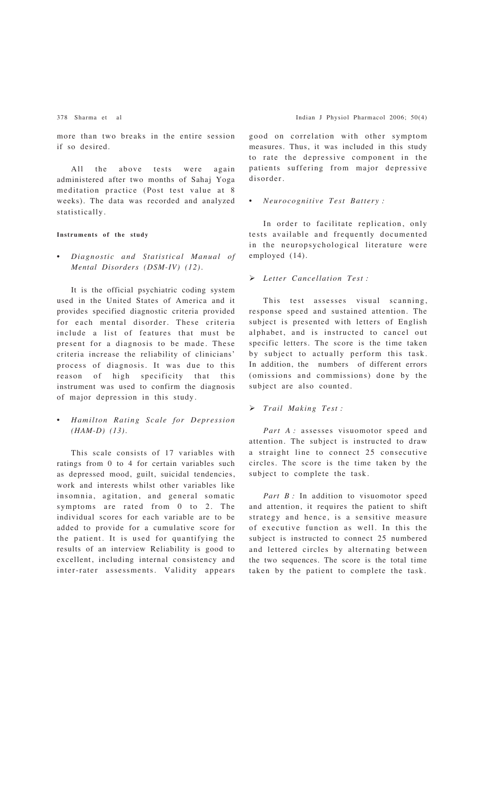more than two breaks in the entire session if so desired.

All the above tests were again administered after two months of Sahaj Yoga meditation practice (Post test value at 8 weeks). The data was recorded and analyzed statistically.

## **Instruments of the study**

• *Diagnostic and Statistical Manual of Mental Disorders (DSM-IV) (12).*

It is the official psychiatric coding system used in the United States of America and it provides specified diagnostic criteria provided for each mental disorder. These criteria include a list of features that must be present for a diagnosis to be made. These criteria increase the reliability of clinicians' process of diagnosis. It was due to this reason of high specificity that this instrument was used to confirm the diagnosis of major depression in this study.

• *Hamilton Rating Scale for Depression (HAM-D) (13).*

This scale consists of 17 variables with ratings from 0 to 4 for certain variables such as depressed mood, guilt, suicidal tendencies, work and interests whilst other variables like insomnia, agitation, and general somatic symptoms are rated from 0 to 2. The individual scores for each variable are to be added to provide for a cumulative score for the patient. It is used for quantifying the results of an interview Reliability is good to excellent, including internal consistency and inter-rater assessments. Validity appears

good on correlation with other symptom measures. Thus, it was included in this study to rate the depressive component in the patients suffering from major depressive disorder.

## • *Neurocognitive Test Battery :*

In order to facilitate replication, only tests available and frequently documented in the neuropsychological literature were employed (14).

## ! *Letter Cancellation Test :*

This test assesses visual scanning, response speed and sustained attention. The subject is presented with letters of English alphabet, and is instructed to cancel out specific letters. The score is the time taken by subject to actually perform this task. In addition, the numbers of different errors (omissions and commissions) done by the subject are also counted.

#### ! *Trail Making Test :*

Part A: assesses visuomotor speed and attention. The subject is instructed to draw a straight line to connect 25 consecutive circles. The score is the time taken by the subject to complete the task.

Part B : In addition to visuomotor speed and attention, it requires the patient to shift strategy and hence, is a sensitive measure of executive function as well. In this the subject is instructed to connect 25 numbered and lettered circles by alternating between the two sequences. The score is the total time taken by the patient to complete the task.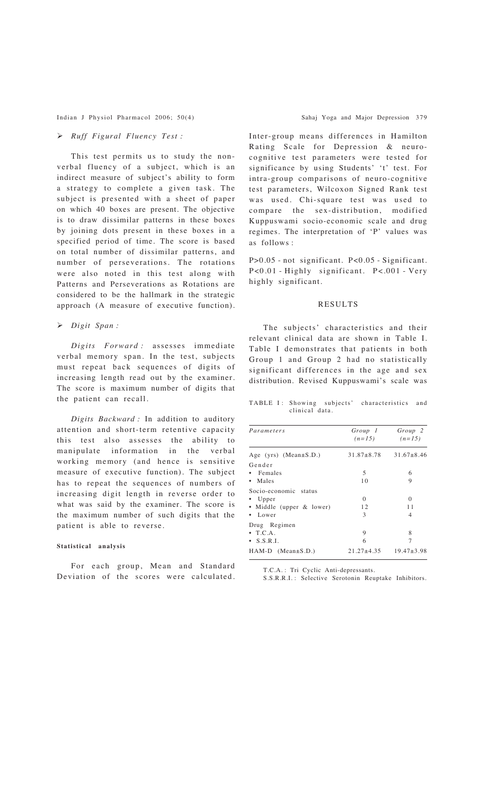Indian J Physiol Pharmacol 2006; 50(4) Sahaj Yoga and Major Depression 379

# ! *Ruff Figural Fluency Test :*

This test permits us to study the nonverbal fluency of a subject, which is an indirect measure of subject's ability to form a strategy to complete a given task. The subject is presented with a sheet of paper on which 40 boxes are present. The objective is to draw dissimilar patterns in these boxes by joining dots present in these boxes in a specified period of time. The score is based on total number of dissimilar patterns, and number of perseverations. The rotations were also noted in this test along with Patterns and Perseverations as Rotations are considered to be the hallmark in the strategic approach (A measure of executive function).

## ! *Digit Span :*

*Digits Forward :* assesses immediate verbal memory span. In the test, subjects must repeat back sequences of digits of increasing length read out by the examiner. The score is maximum number of digits that the patient can recall.

*Digits Backward :* In addition to auditory attention and short-term retentive capacity this test also assesses the ability to manipulate information in the verbal working memory (and hence is sensitive measure of executive function). The subject has to repeat the sequences of numbers of increasing digit length in reverse order to what was said by the examiner. The score is the maximum number of such digits that the patient is able to reverse.

#### **Statistical analysis**

For each group, Mean and Standard Deviation of the scores were calculated. Inter-group means differences in Hamilton Rating Scale for Depression & neurocognitive test parameters were tested for significance by using Students' 't' test. For intra-group comparisons of neuro-cognitive test parameters, Wilcoxon Signed Rank test was used. Chi-square test was used to compare the sex-distribution, modified Kuppuswami socio-economic scale and drug regimes. The interpretation of 'P' values was as follows :

P>0.05 - not significant. P<0.05 - Significant. P<0.01 - Highly significant. P<.001 - Very highly significant.

## RESULTS

The subjects' characteristics and their relevant clinical data are shown in Table I. Table I demonstrates that patients in both Group 1 and Group 2 had no statistically significant differences in the age and sex distribution. Revised Kuppuswami's scale was

TABLE I: Showing subjects' characteristics and clinical data.

| Parameters                  | Group 1<br>$(n=15)$ | Group 2<br>$(n=15)$ |
|-----------------------------|---------------------|---------------------|
| Age (yrs) (Mean $\pm$ S.D.) | $31.87 + 8.78$      | $31.67 + 8.46$      |
| Gender                      |                     |                     |
| • Females                   | 5                   | 6                   |
| • Males                     | 10                  | 9                   |
| Socio-economic status       |                     |                     |
| $\bullet$ Upper             | $\Omega$            | $\Omega$            |
| • Middle (upper & lower)    | 12                  | 11                  |
| $\bullet$ Lower             | 3                   | 4                   |
| Drug Regimen                |                     |                     |
| $\bullet$ T.C.A.            | 9                   | 8                   |
| $\bullet$ S.S.R.I.          | 6                   | 7                   |
| $HAM-D$ (Mean $\pm$ S.D.)   | $21.27 + 4.35$      | $19.47 + 3.98$      |

T.C.A. : Tri Cyclic Anti-depressants.

S.S.R.R.I. : Selective Serotonin Reuptake Inhibitors.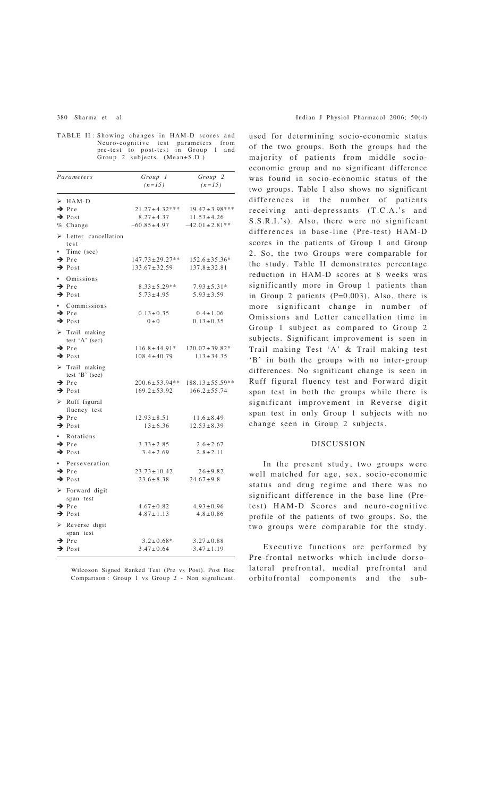TABLE II : Showing changes in HAM-D scores and Neuro-cognitive test parameters from pre-test to post-test in Group 1 and Group 2 subjects. (Mean±S.D.)

| Parameters                                                                                            | Group 1<br>$(n=15)$                                       | Group <sub>2</sub><br>$(n=15)$                                  |
|-------------------------------------------------------------------------------------------------------|-----------------------------------------------------------|-----------------------------------------------------------------|
| $\triangleright$ HAM-D<br>$\rightarrow$ Pre<br>$\rightarrow$ Post<br>% Change                         | $21.27 \pm 4.32***$<br>$8.27 \pm 4.37$<br>$-60.85 + 4.97$ | $19.47 \pm 3.98***$<br>$11.53 \pm 4.26$<br>$-42.01 \pm 2.81$ ** |
| $\triangleright$ Letter cancellation<br>test<br>Time (sec)<br>$\rightarrow$ Pre<br>$\rightarrow$ Post | $147.73 \pm 29.27**$<br>$133.67 \pm 32.59$                | $152.6 \pm 35.36*$<br>$137.8 \pm 32.81$                         |
| · Omissions<br>$\rightarrow$ Pre<br>$\rightarrow$ Post                                                | $8.33 \pm 5.29**$<br>$5.73 \pm 4.95$                      | $7.93 \pm 5.31*$<br>$5.93 \pm 3.59$                             |
| • Commissions<br>$\rightarrow$ Pre<br>$\rightarrow$ Post                                              | $0.13 \pm 0.35$<br>$(0+0)$                                | $0.4 \pm 1.06$<br>$0.13 \pm 0.35$                               |
| $\triangleright$ Trail making<br>test 'A' (sec)<br>$\rightarrow$ Pre<br>$\rightarrow$ Post            | $116.8 \pm 44.91*$<br>$108.4 + 40.79$                     | $120.07 \pm 39.82*$<br>$113 + 34.35$                            |
| $\triangleright$ Trail making<br>test $B'$ (sec)<br>$\rightarrow$ Pre<br>$\rightarrow$ Post           | $200.6 \pm 53.94**$<br>$169.2 \pm 53.92$                  | $188.13 \pm 55.59$ **<br>$166.2 \pm 55.74$                      |
| $\triangleright$ Ruff figural<br>fluency test<br>$\rightarrow$ Pre<br>$\rightarrow$ Post              | $12.93 \pm 8.51$<br>$13 \pm 6.36$                         | $11.6 \pm 8.49$<br>$12.53 \pm 8.39$                             |
| • Rotations<br>$\rightarrow$ Pre<br>$\rightarrow$ Post                                                | $3.33 \pm 2.85$<br>$3.4 \pm 2.69$                         | $2.6 \pm 2.67$<br>$2.8 \pm 2.11$                                |
| • Perseveration<br>$\rightarrow$ Pre<br>$\rightarrow$ Post                                            | $23.73 \pm 10.42$<br>$23.6 \pm 8.38$                      | $26 \pm 9.82$<br>$24.67 \pm 9.8$                                |
| > Forward digit<br>span test<br>$\rightarrow$ Pre<br>$\rightarrow$ Post                               | $4.67 + 0.82$<br>$4.87 \pm 1.13$                          | $4.93 + 0.96$<br>$4.8 + 0.86$                                   |
| $\triangleright$ Reverse digit<br>span test<br>$\rightarrow$ Pre<br>$\rightarrow$ Post                | $3.2 \pm 0.68*$<br>$3.47 \pm 0.64$                        | $3.27 \pm 0.88$<br>$3.47 \pm 1.19$                              |

Wilcoxon Signed Ranked Test (Pre vs Post). Post Hoc Comparison : Group 1 vs Group 2 - Non significant. used for determining socio-economic status of the two groups. Both the groups had the majority of patients from middle socioeconomic group and no significant difference was found in socio-economic status of the two groups. Table I also shows no significant differences in the number of patients receiving anti-depressants (T.C.A.'s and S.S.R.I.'s). Also, there were no significant differences in base-line (Pre-test) HAM-D scores in the patients of Group 1 and Group 2. So, the two Groups were comparable for the study. Table II demonstrates percentage reduction in HAM-D scores at 8 weeks was significantly more in Group 1 patients than in Group 2 patients (P=0.003). Also, there is more significant change in number of Omissions and Letter cancellation time in Group 1 subject as compared to Group 2 subjects. Significant improvement is seen in Trail making Test 'A' & Trail making test 'B' in both the groups with no inter-group differences. No significant change is seen in Ruff figural fluency test and Forward digit span test in both the groups while there is significant improvement in Reverse digit span test in only Group 1 subjects with no change seen in Group 2 subjects.

## DISCUSSION

In the present study, two groups were well matched for age, sex, socio-economic status and drug regime and there was no significant difference in the base line (Pretest) HAM-D Scores and neuro-cognitive profile of the patients of two groups. So, the two groups were comparable for the study.

Executive functions are performed by Pre-frontal networks which include dorsolateral prefrontal, medial prefrontal and orbitofrontal components and the sub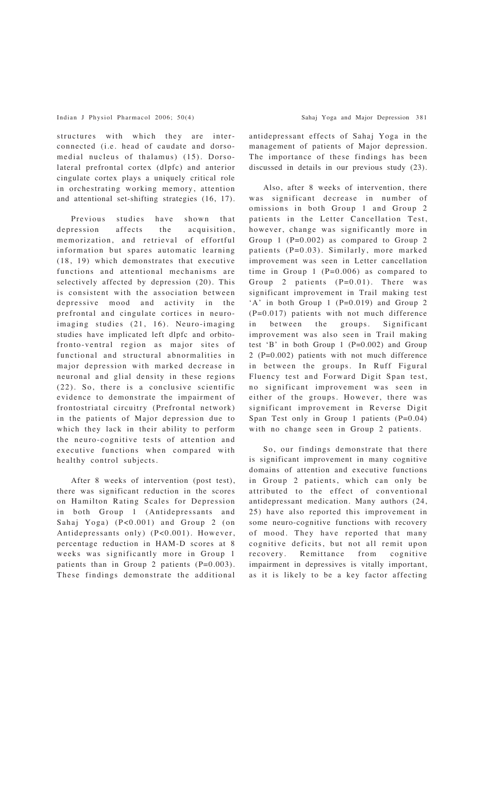structures with which they are interconnected (i.e. head of caudate and dorsomedial nucleus of thalamus) (15). Dorsolateral prefrontal cortex (dlpfc) and anterior cingulate cortex plays a uniquely critical role in orchestrating working memory, attention and attentional set-shifting strategies (16, 17).

Previous studies have shown that depression affects the acquisition, memorization, and retrieval of effortful information but spares automatic learning (18, 19) which demonstrates that executive functions and attentional mechanisms are selectively affected by depression (20). This is consistent with the association between depressive mood and activity in the prefrontal and cingulate cortices in neuroimaging studies (21, 16). Neuro-imaging studies have implicated left dlpfc and orbitofronto-ventral region as major sites of functional and structural abnormalities in major depression with marked decrease in neuronal and glial density in these regions (22). So, there is a conclusive scientific evidence to demonstrate the impairment of frontostriatal circuitry (Prefrontal network) in the patients of Major depression due to which they lack in their ability to perform the neuro-cognitive tests of attention and executive functions when compared with healthy control subjects.

After 8 weeks of intervention (post test), there was significant reduction in the scores on Hamilton Rating Scales for Depression in both Group 1 (Antidepressants and Sahaj Yoga) (P<0.001) and Group 2 (on Antidepressants only) (P<0.001). However, percentage reduction in HAM-D scores at 8 weeks was significantly more in Group 1 patients than in Group 2 patients (P=0.003). These findings demonstrate the additional antidepressant effects of Sahaj Yoga in the management of patients of Major depression. The importance of these findings has been discussed in details in our previous study (23).

Also, after 8 weeks of intervention, there was significant decrease in number of omissions in both Group 1 and Group 2 patients in the Letter Cancellation Test, however, change was significantly more in Group 1 (P=0.002) as compared to Group 2 patients (P=0.03). Similarly, more marked improvement was seen in Letter cancellation time in Group 1 (P=0.006) as compared to Group 2 patients (P=0.01). There was significant improvement in Trail making test 'A' in both Group 1 (P=0.019) and Group 2 (P=0.017) patients with not much difference in between the groups. Significant improvement was also seen in Trail making test 'B' in both Group  $1$  (P=0.002) and Group 2 (P=0.002) patients with not much difference in between the groups. In Ruff Figural Fluency test and Forward Digit Span test, no significant improvement was seen in either of the groups. However, there was significant improvement in Reverse Digit Span Test only in Group 1 patients (P=0.04) with no change seen in Group 2 patients.

So, our findings demonstrate that there is significant improvement in many cognitive domains of attention and executive functions in Group 2 patients, which can only be attributed to the effect of conventional antidepressant medication. Many authors (24, 25) have also reported this improvement in some neuro-cognitive functions with recovery of mood. They have reported that many cognitive deficits, but not all remit upon recovery. Remittance from cognitive impairment in depressives is vitally important, as it is likely to be a key factor affecting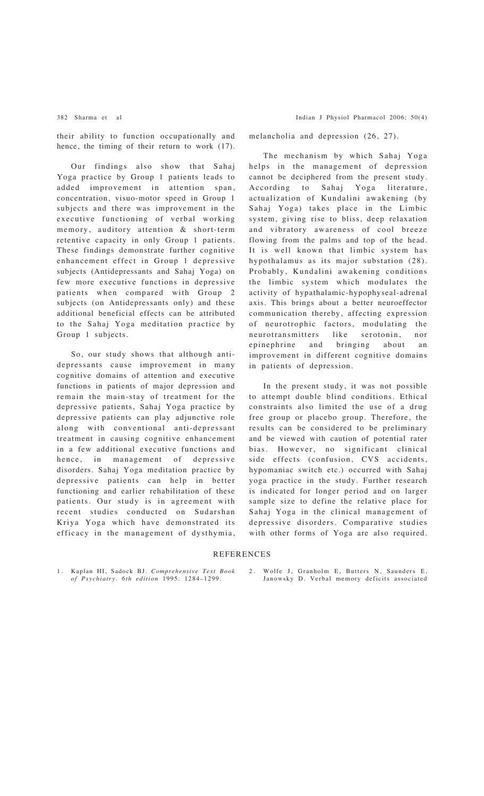their ability to function occupationally and hence, the timing of their return to work (17).

Our findings also show that Sahaj Yoga practice by Group 1 patients leads to added improvement in attention span, concentration, visuo-motor speed in Group 1 subjects and there was improvement in the executive functioning of verbal working memory, auditory attention & short-term retentive capacity in only Group 1 patients. These findings demonstrate further cognitive enhancement effect in Group 1 depressive subjects (Antidepressants and Sahaj Yoga) on few more executive functions in depressive patients when compared with Group 2 subjects (on Antidepressants only) and these additional beneficial effects can be attributed to the Sahaj Yoga meditation practice by Group 1 subjects.

So, our study shows that although antidepressants cause improvement in many cognitive domains of attention and executive functions in patients of major depression and remain the main-stay of treatment for the depressive patients, Sahaj Yoga practice by depressive patients can play adjunctive role along with conventional anti-depressant treatment in causing cognitive enhancement in a few additional executive functions and hence, in management of depressive disorders. Sahaj Yoga meditation practice by depressive patients can help in better functioning and earlier rehabilitation of these patients. Our study is in agreement with recent studies conducted on Sudarshan Kriya Yoga which have demonstrated its efficacy in the management of dysthymia,

382 Sharma et al Indian J Physiol Pharmacol 2006; 50(4)

melancholia and depression (26, 27).

The mechanism by which Sahaj Yoga helps in the management of depression cannot be deciphered from the present study. According to Sahaj Yoga literature, actualization of Kundalini awakening (by Sahaj Yoga) takes place in the Limbic system, giving rise to bliss, deep relaxation and vibratory awareness of cool breeze flowing from the palms and top of the head. It is well known that limbic system has hypothalamus as its major substation (28). Probably, Kundalini awakening conditions the limbic system which modulates the activity of hypathalamic-hypophyseal-adrenal axis. This brings about a better neuroeffector communication thereby, affecting expression of neurotrophic factors, modulating the neurotransmitters like serotonin, nor epinephrine and bringing about an improvement in different cognitive domains in patients of depression.

In the present study, it was not possible to attempt double blind conditions. Ethical constraints also limited the use of a drug free group or placebo group. Therefore, the results can be considered to be preliminary and be viewed with caution of potential rater bias. However, no significant clinical side effects (confusion, CVS accidents, hypomaniac switch etc.) occurred with Sahaj yoga practice in the study. Further research is indicated for longer period and on larger sample size to define the relative place for Sahaj Yoga in the clinical management of depressive disorders. Comparative studies with other forms of Yoga are also required.

#### **REFERENCES**

1. Kaplan HI, Sadock BJ. *Comprehensive Text Book of Psychiatry. 6th edition* 1995: 1284–1299.

2. Wolfe J, Granholm E, Butters N, Saunders E, Janowsky D. Verbal memory deficits associated